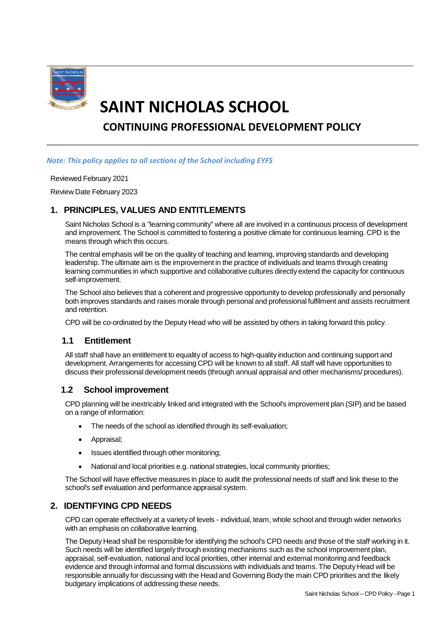

# **SAINT NICHOLAS SCHOOL CONTINUING PROFESSIONAL DEVELOPMENT POLICY**

#### *Note: This policy applies to all sections of the School including EYFS*

#### Reviewed February 2021

Review Date February 2023

## **1. PRINCIPLES, VALUES AND ENTITLEMENTS**

Saint Nicholas School is a "learning community" where all are involved in a continuous process of development and improvement. The School is committed to fostering a positive climate for continuous learning. CPD is the means through which this occurs.

The central emphasis will be on the quality of teaching and learning, improving standards and developing leadership. The ultimate aim is the improvement in the practice of individuals and teams through creating learning communities in which supportive and collaborative cultures directly extend the capacity for continuous self-improvement.

The School also believes that a coherent and progressive opportunity to develop professionally and personally both improves standards and raises morale through personal and professional fulfilment and assists recruitment and retention.

CPD will be co-ordinated by the Deputy Head who will be assisted by others in taking forward this policy.

## **1.1 Entitlement**

All staff shall have an entitlement to equality of access to high-quality induction and continuing support and development. Arrangements for accessing CPD will be known to all staff. All staff will have opportunities to discuss their professional development needs (through annual appraisal and other mechanisms/ procedures).

### **1.2 School improvement**

CPD planning will be inextricably linked and integrated with the School's improvement plan (SIP) and be based on a range of information:

- The needs of the school as identified through its self-evaluation;
- Appraisal;
- Issues identified through other monitoring;
- National and local priorities e.g. national strategies, local community priorities;

The School will have effective measures in place to audit the professional needs of staff and link these to the school's self evaluation and performance appraisal system.

## **2. IDENTIFYING CPD NEEDS**

CPD can operate effectively at a variety of levels - individual, team, whole school and through wider networks with an emphasis on collaborative learning.

The Deputy Head shall be responsible for identifying the school's CPD needs and those of the staff working in it. Such needs will be identified largely through existing mechanisms such as the school improvement plan, appraisal, self-evaluation, national and local priorities, other internal and external monitoring and feedback evidence and through informal and formal discussions with individuals and teams. The Deputy Head will be responsible annually for discussing with the Head and Governing Body the main CPD priorities and the likely budgetary implications of addressing these needs.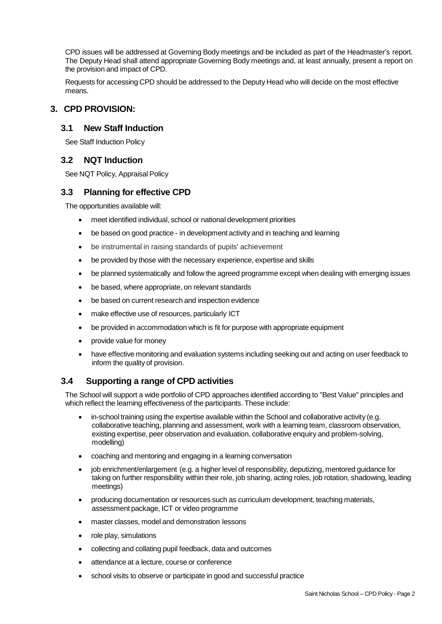CPD issues will be addressed at Governing Body meetings and be included as part of the Headmaster's report. The Deputy Head shall attend appropriate Governing Body meetings and, at least annually, present a report on the provision and impact of CPD.

Requests for accessing CPD should be addressed to the Deputy Head who will decide on the most effective means.

## **3. CPD PROVISION:**

#### **3.1 New Staff Induction**

See Staff Induction Policy

### **3.2 NQT Induction**

See NQT Policy, Appraisal Policy

### **3.3 Planning for effective CPD**

The opportunities available will:

- meet identified individual, school or national development priorities
- be based on good practice in development activity and in teaching and learning
- be instrumental in raising standards of pupils' achievement
- be provided by those with the necessary experience, expertise and skills
- be planned systematically and follow the agreed programme except when dealing with emerging issues
- be based, where appropriate, on relevant standards
- be based on current research and inspection evidence
- make effective use of resources, particularly ICT
- be provided in accommodation which is fit for purpose with appropriate equipment
- provide value for money
- have effective monitoring and evaluation systems including seeking out and acting on user feedback to inform the quality of provision.

### **3.4 Supporting a range of CPD activities**

The School will support a wide portfolio of CPD approaches identified according to "Best Value" principles and which reflect the learning effectiveness of the participants. These include:

- in-school training using the expertise available within the School and collaborative activity (e.g. collaborative teaching, planning and assessment, work with a learning team, classroom observation, existing expertise, peer observation and evaluation, collaborative enquiry and problem-solving, modelling)
- coaching and mentoring and engaging in a learning conversation
- job enrichment/enlargement (e.g. a higher level of responsibility, deputizing, mentored guidance for taking on further responsibility within their role, job sharing, acting roles, job rotation, shadowing, leading meetings)
- producing documentation or resources such as curriculum development, teaching materials, assessment package, ICT or video programme
- master classes, model and demonstration lessons
- role play, simulations
- collecting and collating pupil feedback, data and outcomes
- attendance at a lecture, course or conference
- school visits to observe or participate in good and successful practice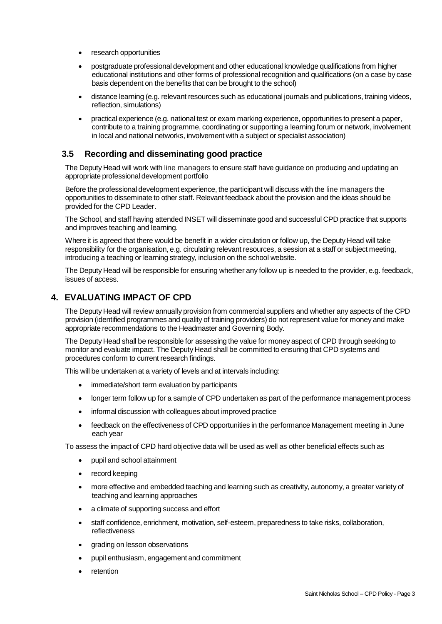- research opportunities
- postgraduate professional development and other educational knowledge qualifications from higher educational institutions and other forms of professional recognition and qualifications (on a case by case basis dependent on the benefits that can be brought to the school)
- distance learning (e.g. relevant resources such as educational journals and publications, training videos, reflection, simulations)
- practical experience (e.g. national test or exam marking experience, opportunities to present a paper, contribute to a training programme, coordinating or supporting a learning forum or network, involvement in local and national networks, involvement with a subject or specialist association)

#### **3.5 Recording and disseminating good practice**

The Deputy Head will work with line managers to ensure staff have guidance on producing and updating an appropriate professional development portfolio

Before the professional development experience, the participant will discuss with the line managers the opportunities to disseminate to other staff. Relevant feedback about the provision and the ideas should be provided for the CPD Leader.

The School, and staff having attended INSET will disseminate good and successful CPD practice that supports and improves teaching and learning.

Where it is agreed that there would be benefit in a wider circulation or follow up, the Deputy Head will take responsibility for the organisation, e.g. circulating relevant resources, a session at a staff or subject meeting, introducing a teaching or learning strategy, inclusion on the school website.

The Deputy Head will be responsible for ensuring whether any follow up is needed to the provider, e.g. feedback, issues of access.

## **4. EVALUATING IMPACT OF CPD**

The Deputy Head will review annually provision from commercial suppliers and whether any aspects of the CPD provision (identified programmes and quality of training providers) do not represent value for money and make appropriate recommendations to the Headmaster and Governing Body.

The Deputy Head shall be responsible for assessing the value for money aspect of CPD through seeking to monitor and evaluate impact. The Deputy Head shall be committed to ensuring that CPD systems and procedures conform to current research findings.

This will be undertaken at a variety of levels and at intervals including:

- immediate/short term evaluation by participants
- longer term follow up for a sample of CPD undertaken as part of the performance management process
- informal discussion with colleagues about improved practice
- feedback on the effectiveness of CPD opportunities in the performance Management meeting in June each year

To assess the impact of CPD hard objective data will be used as well as other beneficial effects such as

- pupil and school attainment
- record keeping
- more effective and embedded teaching and learning such as creativity, autonomy, a greater variety of teaching and learning approaches
- a climate of supporting success and effort
- staff confidence, enrichment, motivation, self-esteem, preparedness to take risks, collaboration, reflectiveness
- grading on lesson observations
- pupil enthusiasm, engagement and commitment
- retention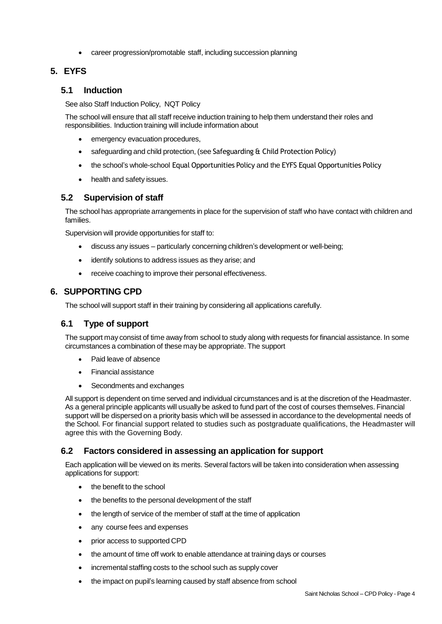career progression/promotable staff, including succession planning

## **5. EYFS**

## **5.1 Induction**

See also Staff Induction Policy, NQT Policy

The school will ensure that all staff receive induction training to help them understand their roles and responsibilities. Induction training will include information about

- emergency evacuation procedures,
- safeguarding and child protection, (see Safeguarding & Child Protection Policy)
- the school's whole-school Equal Opportunities Policy and the EYFS Equal Opportunities Policy
- health and safety issues.

### **5.2 Supervision of staff**

The school has appropriate arrangements in place for the supervision of staff who have contact with children and families.

Supervision will provide opportunities for staff to:

- discuss any issues particularly concerning children's development or well-being;
- identify solutions to address issues as they arise; and
- receive coaching to improve their personal effectiveness.

## **6. SUPPORTING CPD**

The school will support staff in their training by considering all applications carefully.

### **6.1 Type of support**

The support may consist of time away from school to study along with requests for financial assistance. In some circumstances a combination of these may be appropriate. The support

- Paid leave of absence
- Financial assistance
- Secondments and exchanges

All support is dependent on time served and individual circumstances and is at the discretion of the Headmaster. As a general principle applicants will usually be asked to fund part of the cost of courses themselves. Financial support will be dispersed on a priority basis which will be assessed in accordance to the developmental needs of the School. For financial support related to studies such as postgraduate qualifications, the Headmaster will agree this with the Governing Body.

## **6.2 Factors considered in assessing an application for support**

Each application will be viewed on its merits. Several factors will be taken into consideration when assessing applications for support:

- the benefit to the school
- the benefits to the personal development of the staff
- the length of service of the member of staff at the time of application
- any course fees and expenses
- prior access to supported CPD
- the amount of time off work to enable attendance at training days or courses
- incremental staffing costs to the school such as supply cover
- the impact on pupil's learning caused by staff absence from school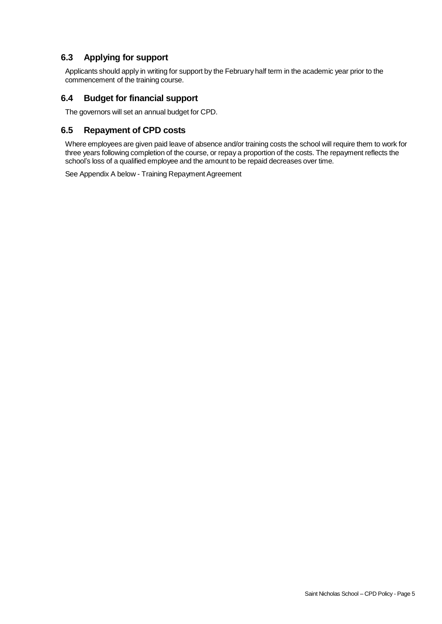## **6.3 Applying for support**

Applicants should apply in writing for support by the February half term in the academic year prior to the commencement of the training course.

## **6.4 Budget for financial support**

The governors will set an annual budget for CPD.

### **6.5 Repayment of CPD costs**

Where employees are given paid leave of absence and/or training costs the school will require them to work for three years following completion of the course, or repay a proportion of the costs. The repayment reflects the school's loss of a qualified employee and the amount to be repaid decreases over time.

See Appendix A below - Training Repayment Agreement